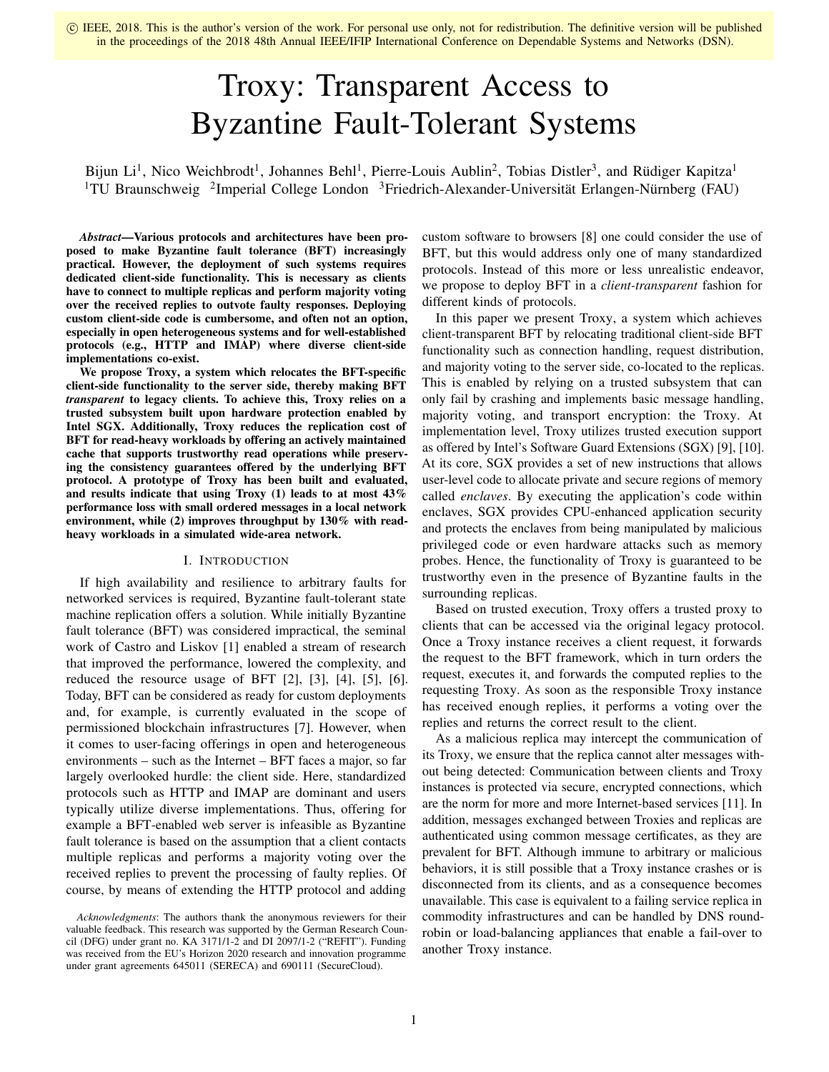# Troxy: Transparent Access to Byzantine Fault-Tolerant Systems

Bijun Li<sup>1</sup>, Nico Weichbrodt<sup>1</sup>, Johannes Behl<sup>1</sup>, Pierre-Louis Aublin<sup>2</sup>, Tobias Distler<sup>3</sup>, and Rüdiger Kapitza<sup>1</sup> <sup>1</sup>TU Braunschweig <sup>2</sup>Imperial College London <sup>3</sup>Friedrich-Alexander-Universität Erlangen-Nürnberg (FAU)

*Abstract*—Various protocols and architectures have been proposed to make Byzantine fault tolerance (BFT) increasingly practical. However, the deployment of such systems requires dedicated client-side functionality. This is necessary as clients have to connect to multiple replicas and perform majority voting over the received replies to outvote faulty responses. Deploying custom client-side code is cumbersome, and often not an option, especially in open heterogeneous systems and for well-established protocols (e.g., HTTP and IMAP) where diverse client-side implementations co-exist.

We propose Troxy, a system which relocates the BFT-specific client-side functionality to the server side, thereby making BFT *transparent* to legacy clients. To achieve this, Troxy relies on a trusted subsystem built upon hardware protection enabled by Intel SGX. Additionally, Troxy reduces the replication cost of BFT for read-heavy workloads by offering an actively maintained cache that supports trustworthy read operations while preserving the consistency guarantees offered by the underlying BFT protocol. A prototype of Troxy has been built and evaluated, and results indicate that using Troxy (1) leads to at most 43% performance loss with small ordered messages in a local network environment, while (2) improves throughput by 130% with readheavy workloads in a simulated wide-area network.

#### I. INTRODUCTION

If high availability and resilience to arbitrary faults for networked services is required, Byzantine fault-tolerant state machine replication offers a solution. While initially Byzantine fault tolerance (BFT) was considered impractical, the seminal work of Castro and Liskov [1] enabled a stream of research that improved the performance, lowered the complexity, and reduced the resource usage of BFT  $[2]$ ,  $[3]$ ,  $[4]$ ,  $[5]$ ,  $[6]$ . Today, BFT can be considered as ready for custom deployments and, for example, is currently evaluated in the scope of permissioned blockchain infrastructures [7]. However, when it comes to user-facing offerings in open and heterogeneous environments – such as the Internet – BFT faces a major, so far largely overlooked hurdle: the client side. Here, standardized protocols such as HTTP and IMAP are dominant and users typically utilize diverse implementations. Thus, offering for example a BFT-enabled web server is infeasible as Byzantine fault tolerance is based on the assumption that a client contacts multiple replicas and performs a majority voting over the received replies to prevent the processing of faulty replies. Of course, by means of extending the HTTP protocol and adding

*Acknowledgments*: The authors thank the anonymous reviewers for their valuable feedback. This research was supported by the German Research Council (DFG) under grant no. KA 3171/1-2 and DI 2097/1-2 ("REFIT"). Funding was received from the EU's Horizon 2020 research and innovation programme under grant agreements 645011 (SERECA) and 690111 (SecureCloud).

custom software to browsers [8] one could consider the use of BFT, but this would address only one of many standardized protocols. Instead of this more or less unrealistic endeavor, we propose to deploy BFT in a *client-transparent* fashion for different kinds of protocols.

In this paper we present Troxy, a system which achieves client-transparent BFT by relocating traditional client-side BFT functionality such as connection handling, request distribution, and majority voting to the server side, co-located to the replicas. This is enabled by relying on a trusted subsystem that can only fail by crashing and implements basic message handling, majority voting, and transport encryption: the Troxy. At implementation level, Troxy utilizes trusted execution support as offered by Intel's Software Guard Extensions (SGX) [9], [10]. At its core, SGX provides a set of new instructions that allows user-level code to allocate private and secure regions of memory called *enclaves*. By executing the application's code within enclaves, SGX provides CPU-enhanced application security and protects the enclaves from being manipulated by malicious privileged code or even hardware attacks such as memory probes. Hence, the functionality of Troxy is guaranteed to be trustworthy even in the presence of Byzantine faults in the surrounding replicas.

Based on trusted execution, Troxy offers a trusted proxy to clients that can be accessed via the original legacy protocol. Once a Troxy instance receives a client request, it forwards the request to the BFT framework, which in turn orders the request, executes it, and forwards the computed replies to the requesting Troxy. As soon as the responsible Troxy instance has received enough replies, it performs a voting over the replies and returns the correct result to the client.

As a malicious replica may intercept the communication of its Troxy, we ensure that the replica cannot alter messages without being detected: Communication between clients and Troxy instances is protected via secure, encrypted connections, which are the norm for more and more Internet-based services [11]. In addition, messages exchanged between Troxies and replicas are authenticated using common message certificates, as they are prevalent for BFT. Although immune to arbitrary or malicious behaviors, it is still possible that a Troxy instance crashes or is disconnected from its clients, and as a consequence becomes unavailable. This case is equivalent to a failing service replica in commodity infrastructures and can be handled by DNS roundrobin or load-balancing appliances that enable a fail-over to another Troxy instance.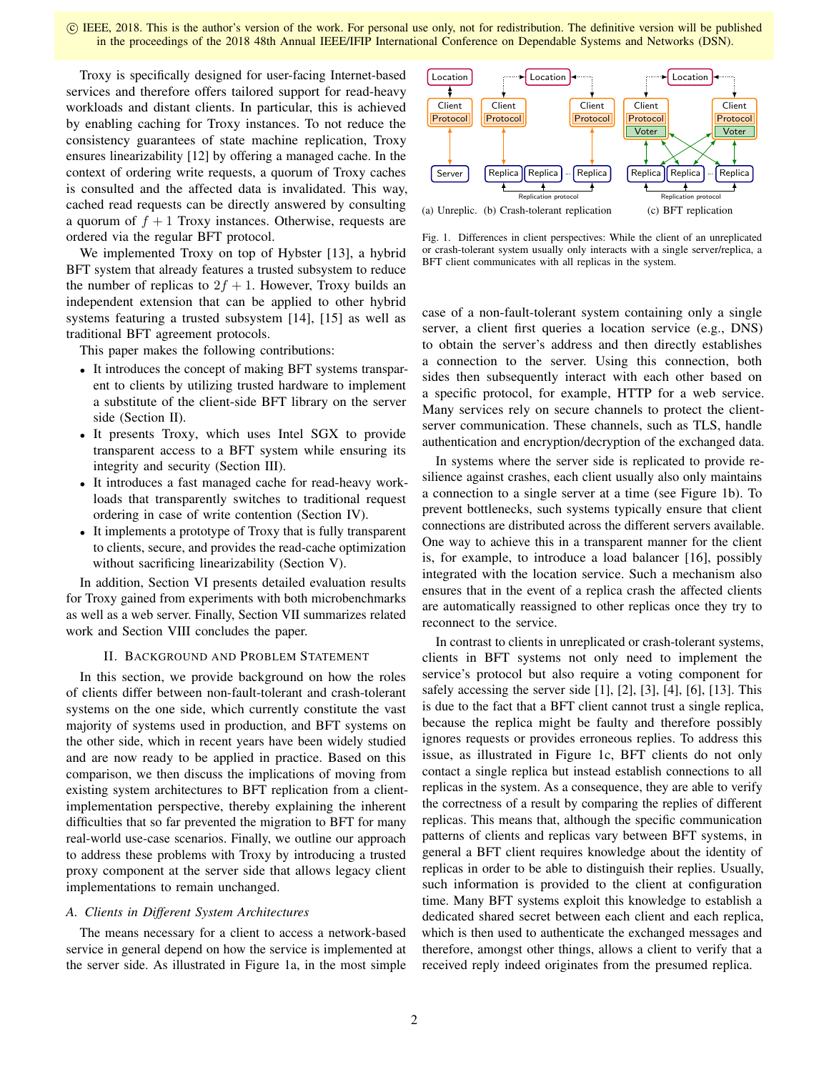Troxy is specifically designed for user-facing Internet-based services and therefore offers tailored support for read-heavy workloads and distant clients. In particular, this is achieved by enabling caching for Troxy instances. To not reduce the consistency guarantees of state machine replication, Troxy ensures linearizability [12] by offering a managed cache. In the context of ordering write requests, a quorum of Troxy caches is consulted and the affected data is invalidated. This way, cached read requests can be directly answered by consulting a quorum of  $f + 1$  Troxy instances. Otherwise, requests are ordered via the regular BFT protocol.

We implemented Troxy on top of Hybster [13], a hybrid BFT system that already features a trusted subsystem to reduce the number of replicas to  $2f + 1$ . However, Troxy builds an independent extension that can be applied to other hybrid systems featuring a trusted subsystem [14], [15] as well as traditional BFT agreement protocols.

This paper makes the following contributions:

- It introduces the concept of making BFT systems transparent to clients by utilizing trusted hardware to implement a substitute of the client-side BFT library on the server side (Section II).
- It presents Troxy, which uses Intel SGX to provide transparent access to a BFT system while ensuring its integrity and security (Section III).
- It introduces a fast managed cache for read-heavy workloads that transparently switches to traditional request ordering in case of write contention (Section IV).
- It implements a prototype of Troxy that is fully transparent to clients, secure, and provides the read-cache optimization without sacrificing linearizability (Section V).

In addition, Section VI presents detailed evaluation results for Troxy gained from experiments with both microbenchmarks as well as a web server. Finally, Section VII summarizes related work and Section VIII concludes the paper.

## II. BACKGROUND AND PROBLEM STATEMENT

In this section, we provide background on how the roles of clients differ between non-fault-tolerant and crash-tolerant systems on the one side, which currently constitute the vast majority of systems used in production, and BFT systems on the other side, which in recent years have been widely studied and are now ready to be applied in practice. Based on this comparison, we then discuss the implications of moving from existing system architectures to BFT replication from a clientimplementation perspective, thereby explaining the inherent difficulties that so far prevented the migration to BFT for many real-world use-case scenarios. Finally, we outline our approach to address these problems with Troxy by introducing a trusted proxy component at the server side that allows legacy client implementations to remain unchanged.

## *A. Clients in Different System Architectures*

The means necessary for a client to access a network-based service in general depend on how the service is implemented at the server side. As illustrated in Figure 1a, in the most simple



Fig. 1. Differences in client perspectives: While the client of an unreplicated or crash-tolerant system usually only interacts with a single server/replica, a BFT client communicates with all replicas in the system.

case of a non-fault-tolerant system containing only a single server, a client first queries a location service (e.g., DNS) to obtain the server's address and then directly establishes a connection to the server. Using this connection, both sides then subsequently interact with each other based on a specific protocol, for example, HTTP for a web service. Many services rely on secure channels to protect the clientserver communication. These channels, such as TLS, handle authentication and encryption/decryption of the exchanged data.

In systems where the server side is replicated to provide resilience against crashes, each client usually also only maintains a connection to a single server at a time (see Figure 1b). To prevent bottlenecks, such systems typically ensure that client connections are distributed across the different servers available. One way to achieve this in a transparent manner for the client is, for example, to introduce a load balancer [16], possibly integrated with the location service. Such a mechanism also ensures that in the event of a replica crash the affected clients are automatically reassigned to other replicas once they try to reconnect to the service.

In contrast to clients in unreplicated or crash-tolerant systems, clients in BFT systems not only need to implement the service's protocol but also require a voting component for safely accessing the server side  $[1]$ ,  $[2]$ ,  $[3]$ ,  $[4]$ ,  $[6]$ ,  $[13]$ . This is due to the fact that a BFT client cannot trust a single replica, because the replica might be faulty and therefore possibly ignores requests or provides erroneous replies. To address this issue, as illustrated in Figure 1c, BFT clients do not only contact a single replica but instead establish connections to all replicas in the system. As a consequence, they are able to verify the correctness of a result by comparing the replies of different replicas. This means that, although the specific communication patterns of clients and replicas vary between BFT systems, in general a BFT client requires knowledge about the identity of replicas in order to be able to distinguish their replies. Usually, such information is provided to the client at configuration time. Many BFT systems exploit this knowledge to establish a dedicated shared secret between each client and each replica, which is then used to authenticate the exchanged messages and therefore, amongst other things, allows a client to verify that a received reply indeed originates from the presumed replica.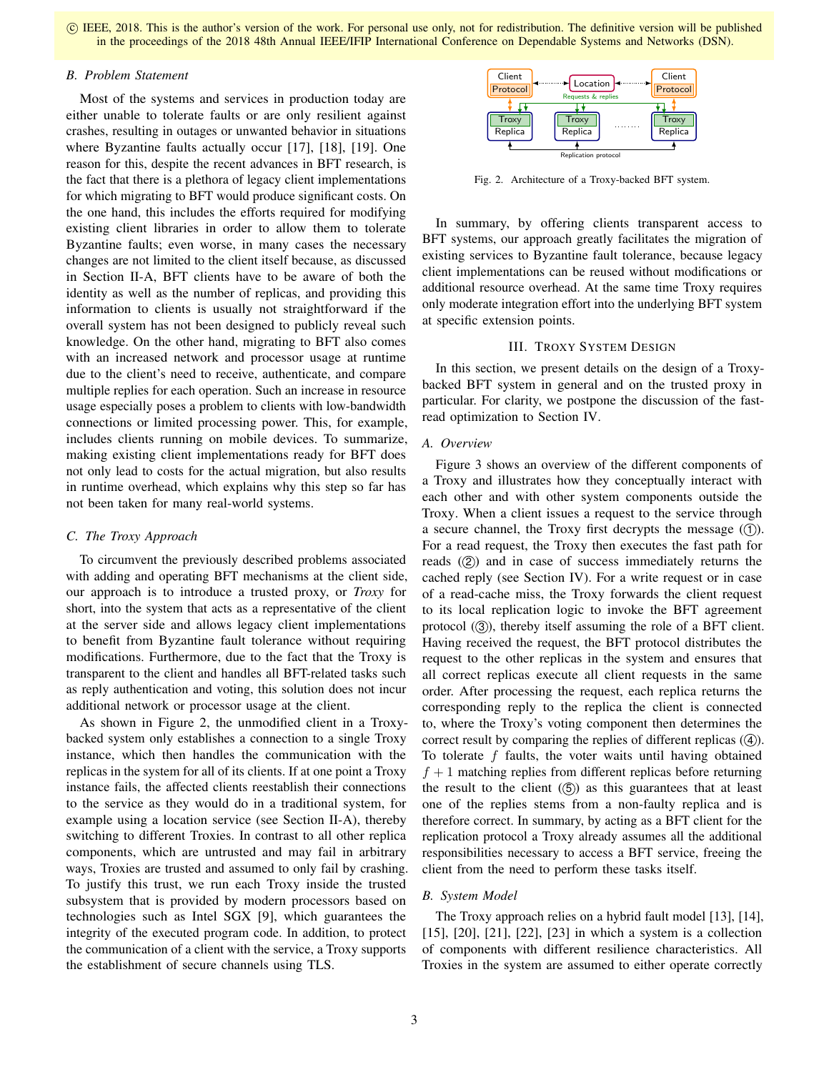# *B. Problem Statement*

Most of the systems and services in production today are either unable to tolerate faults or are only resilient against crashes, resulting in outages or unwanted behavior in situations where Byzantine faults actually occur [17], [18], [19]. One reason for this, despite the recent advances in BFT research, is the fact that there is a plethora of legacy client implementations for which migrating to BFT would produce significant costs. On the one hand, this includes the efforts required for modifying existing client libraries in order to allow them to tolerate Byzantine faults; even worse, in many cases the necessary changes are not limited to the client itself because, as discussed in Section II-A, BFT clients have to be aware of both the identity as well as the number of replicas, and providing this information to clients is usually not straightforward if the overall system has not been designed to publicly reveal such knowledge. On the other hand, migrating to BFT also comes with an increased network and processor usage at runtime due to the client's need to receive, authenticate, and compare multiple replies for each operation. Such an increase in resource usage especially poses a problem to clients with low-bandwidth connections or limited processing power. This, for example, includes clients running on mobile devices. To summarize, making existing client implementations ready for BFT does not only lead to costs for the actual migration, but also results in runtime overhead, which explains why this step so far has not been taken for many real-world systems.

# *C. The Troxy Approach*

To circumvent the previously described problems associated with adding and operating BFT mechanisms at the client side, our approach is to introduce a trusted proxy, or *Troxy* for short, into the system that acts as a representative of the client at the server side and allows legacy client implementations to benefit from Byzantine fault tolerance without requiring modifications. Furthermore, due to the fact that the Troxy is transparent to the client and handles all BFT-related tasks such as reply authentication and voting, this solution does not incur additional network or processor usage at the client.

As shown in Figure 2, the unmodified client in a Troxybacked system only establishes a connection to a single Troxy instance, which then handles the communication with the replicas in the system for all of its clients. If at one point a Troxy instance fails, the affected clients reestablish their connections to the service as they would do in a traditional system, for example using a location service (see Section II-A), thereby switching to different Troxies. In contrast to all other replica components, which are untrusted and may fail in arbitrary ways, Troxies are trusted and assumed to only fail by crashing. To justify this trust, we run each Troxy inside the trusted subsystem that is provided by modern processors based on technologies such as Intel SGX [9], which guarantees the integrity of the executed program code. In addition, to protect the communication of a client with the service, a Troxy supports the establishment of secure channels using TLS.



Fig. 2. Architecture of a Troxy-backed BFT system.

In summary, by offering clients transparent access to BFT systems, our approach greatly facilitates the migration of existing services to Byzantine fault tolerance, because legacy client implementations can be reused without modifications or additional resource overhead. At the same time Troxy requires only moderate integration effort into the underlying BFT system at specific extension points.

# III. TROXY SYSTEM DESIGN

In this section, we present details on the design of a Troxybacked BFT system in general and on the trusted proxy in particular. For clarity, we postpone the discussion of the fastread optimization to Section IV.

## *A. Overview*

Figure 3 shows an overview of the different components of a Troxy and illustrates how they conceptually interact with each other and with other system components outside the Troxy. When a client issues a request to the service through a secure channel, the Troxy first decrypts the message  $(1)$ . For a read request, the Troxy then executes the fast path for reads  $(2)$  and in case of success immediately returns the cached reply (see Section IV). For a write request or in case of a read-cache miss, the Troxy forwards the client request to its local replication logic to invoke the BFT agreement protocol  $(3)$ , thereby itself assuming the role of a BFT client. Having received the request, the BFT protocol distributes the request to the other replicas in the system and ensures that all correct replicas execute all client requests in the same order. After processing the request, each replica returns the corresponding reply to the replica the client is connected to, where the Troxy's voting component then determines the correct result by comparing the replies of different replicas  $(4)$ . To tolerate f faults, the voter waits until having obtained  $f + 1$  matching replies from different replicas before returning the result to the client  $(5)$  as this guarantees that at least one of the replies stems from a non-faulty replica and is therefore correct. In summary, by acting as a BFT client for the replication protocol a Troxy already assumes all the additional responsibilities necessary to access a BFT service, freeing the client from the need to perform these tasks itself.

# *B. System Model*

The Troxy approach relies on a hybrid fault model [13], [14], [15], [20], [21], [22], [23] in which a system is a collection of components with different resilience characteristics. All Troxies in the system are assumed to either operate correctly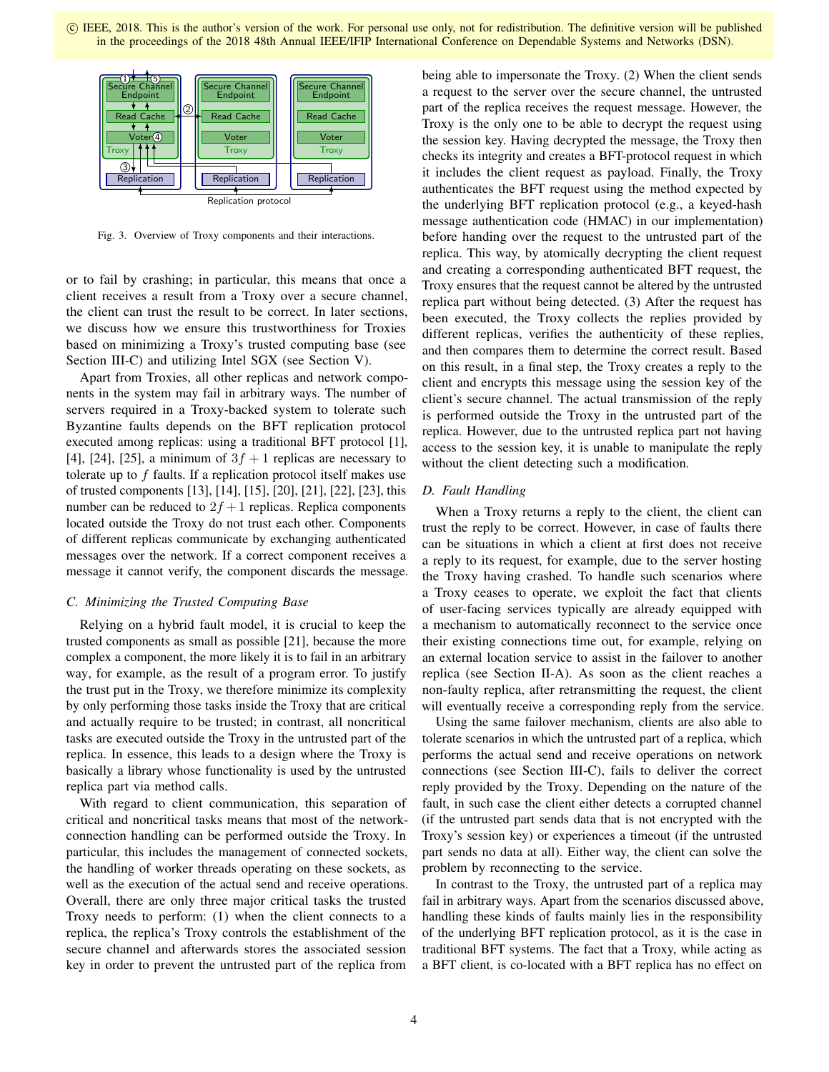

Fig. 3. Overview of Troxy components and their interactions.

or to fail by crashing; in particular, this means that once a client receives a result from a Troxy over a secure channel, the client can trust the result to be correct. In later sections, we discuss how we ensure this trustworthiness for Troxies based on minimizing a Troxy's trusted computing base (see Section III-C) and utilizing Intel SGX (see Section V).

Apart from Troxies, all other replicas and network components in the system may fail in arbitrary ways. The number of servers required in a Troxy-backed system to tolerate such Byzantine faults depends on the BFT replication protocol executed among replicas: using a traditional BFT protocol [1], [4], [24], [25], a minimum of  $3f + 1$  replicas are necessary to tolerate up to f faults. If a replication protocol itself makes use of trusted components [13], [14], [15], [20], [21], [22], [23], this number can be reduced to  $2f + 1$  replicas. Replica components located outside the Troxy do not trust each other. Components of different replicas communicate by exchanging authenticated messages over the network. If a correct component receives a message it cannot verify, the component discards the message.

## *C. Minimizing the Trusted Computing Base*

Relying on a hybrid fault model, it is crucial to keep the trusted components as small as possible [21], because the more complex a component, the more likely it is to fail in an arbitrary way, for example, as the result of a program error. To justify the trust put in the Troxy, we therefore minimize its complexity by only performing those tasks inside the Troxy that are critical and actually require to be trusted; in contrast, all noncritical tasks are executed outside the Troxy in the untrusted part of the replica. In essence, this leads to a design where the Troxy is basically a library whose functionality is used by the untrusted replica part via method calls.

With regard to client communication, this separation of critical and noncritical tasks means that most of the networkconnection handling can be performed outside the Troxy. In particular, this includes the management of connected sockets, the handling of worker threads operating on these sockets, as well as the execution of the actual send and receive operations. Overall, there are only three major critical tasks the trusted Troxy needs to perform: (1) when the client connects to a replica, the replica's Troxy controls the establishment of the secure channel and afterwards stores the associated session key in order to prevent the untrusted part of the replica from

being able to impersonate the Troxy. (2) When the client sends a request to the server over the secure channel, the untrusted part of the replica receives the request message. However, the Troxy is the only one to be able to decrypt the request using the session key. Having decrypted the message, the Troxy then checks its integrity and creates a BFT-protocol request in which it includes the client request as payload. Finally, the Troxy authenticates the BFT request using the method expected by the underlying BFT replication protocol (e.g., a keyed-hash message authentication code (HMAC) in our implementation) before handing over the request to the untrusted part of the replica. This way, by atomically decrypting the client request and creating a corresponding authenticated BFT request, the Troxy ensures that the request cannot be altered by the untrusted replica part without being detected. (3) After the request has been executed, the Troxy collects the replies provided by different replicas, verifies the authenticity of these replies, and then compares them to determine the correct result. Based on this result, in a final step, the Troxy creates a reply to the client and encrypts this message using the session key of the client's secure channel. The actual transmission of the reply is performed outside the Troxy in the untrusted part of the replica. However, due to the untrusted replica part not having access to the session key, it is unable to manipulate the reply without the client detecting such a modification.

## *D. Fault Handling*

When a Troxy returns a reply to the client, the client can trust the reply to be correct. However, in case of faults there can be situations in which a client at first does not receive a reply to its request, for example, due to the server hosting the Troxy having crashed. To handle such scenarios where a Troxy ceases to operate, we exploit the fact that clients of user-facing services typically are already equipped with a mechanism to automatically reconnect to the service once their existing connections time out, for example, relying on an external location service to assist in the failover to another replica (see Section II-A). As soon as the client reaches a non-faulty replica, after retransmitting the request, the client will eventually receive a corresponding reply from the service.

Using the same failover mechanism, clients are also able to tolerate scenarios in which the untrusted part of a replica, which performs the actual send and receive operations on network connections (see Section III-C), fails to deliver the correct reply provided by the Troxy. Depending on the nature of the fault, in such case the client either detects a corrupted channel (if the untrusted part sends data that is not encrypted with the Troxy's session key) or experiences a timeout (if the untrusted part sends no data at all). Either way, the client can solve the problem by reconnecting to the service.

In contrast to the Troxy, the untrusted part of a replica may fail in arbitrary ways. Apart from the scenarios discussed above, handling these kinds of faults mainly lies in the responsibility of the underlying BFT replication protocol, as it is the case in traditional BFT systems. The fact that a Troxy, while acting as a BFT client, is co-located with a BFT replica has no effect on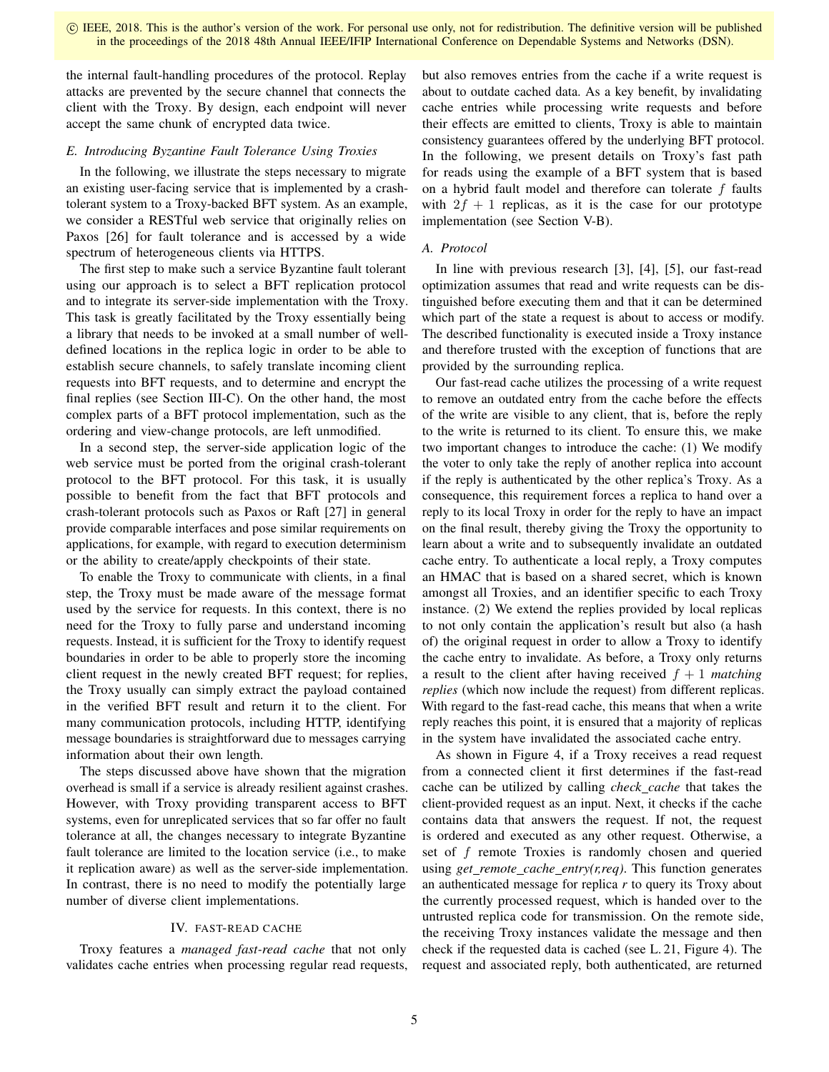the internal fault-handling procedures of the protocol. Replay attacks are prevented by the secure channel that connects the client with the Troxy. By design, each endpoint will never accept the same chunk of encrypted data twice.

# *E. Introducing Byzantine Fault Tolerance Using Troxies*

In the following, we illustrate the steps necessary to migrate an existing user-facing service that is implemented by a crashtolerant system to a Troxy-backed BFT system. As an example, we consider a RESTful web service that originally relies on Paxos [26] for fault tolerance and is accessed by a wide spectrum of heterogeneous clients via HTTPS.

The first step to make such a service Byzantine fault tolerant using our approach is to select a BFT replication protocol and to integrate its server-side implementation with the Troxy. This task is greatly facilitated by the Troxy essentially being a library that needs to be invoked at a small number of welldefined locations in the replica logic in order to be able to establish secure channels, to safely translate incoming client requests into BFT requests, and to determine and encrypt the final replies (see Section III-C). On the other hand, the most complex parts of a BFT protocol implementation, such as the ordering and view-change protocols, are left unmodified.

In a second step, the server-side application logic of the web service must be ported from the original crash-tolerant protocol to the BFT protocol. For this task, it is usually possible to benefit from the fact that BFT protocols and crash-tolerant protocols such as Paxos or Raft [27] in general provide comparable interfaces and pose similar requirements on applications, for example, with regard to execution determinism or the ability to create/apply checkpoints of their state.

To enable the Troxy to communicate with clients, in a final step, the Troxy must be made aware of the message format used by the service for requests. In this context, there is no need for the Troxy to fully parse and understand incoming requests. Instead, it is sufficient for the Troxy to identify request boundaries in order to be able to properly store the incoming client request in the newly created BFT request; for replies, the Troxy usually can simply extract the payload contained in the verified BFT result and return it to the client. For many communication protocols, including HTTP, identifying message boundaries is straightforward due to messages carrying information about their own length.

The steps discussed above have shown that the migration overhead is small if a service is already resilient against crashes. However, with Troxy providing transparent access to BFT systems, even for unreplicated services that so far offer no fault tolerance at all, the changes necessary to integrate Byzantine fault tolerance are limited to the location service (i.e., to make it replication aware) as well as the server-side implementation. In contrast, there is no need to modify the potentially large number of diverse client implementations.

# IV. FAST-READ CACHE

Troxy features a *managed fast-read cache* that not only validates cache entries when processing regular read requests, but also removes entries from the cache if a write request is about to outdate cached data. As a key benefit, by invalidating cache entries while processing write requests and before their effects are emitted to clients, Troxy is able to maintain consistency guarantees offered by the underlying BFT protocol. In the following, we present details on Troxy's fast path for reads using the example of a BFT system that is based on a hybrid fault model and therefore can tolerate f faults with  $2f + 1$  replicas, as it is the case for our prototype implementation (see Section V-B).

# *A. Protocol*

In line with previous research [3], [4], [5], our fast-read optimization assumes that read and write requests can be distinguished before executing them and that it can be determined which part of the state a request is about to access or modify. The described functionality is executed inside a Troxy instance and therefore trusted with the exception of functions that are provided by the surrounding replica.

Our fast-read cache utilizes the processing of a write request to remove an outdated entry from the cache before the effects of the write are visible to any client, that is, before the reply to the write is returned to its client. To ensure this, we make two important changes to introduce the cache: (1) We modify the voter to only take the reply of another replica into account if the reply is authenticated by the other replica's Troxy. As a consequence, this requirement forces a replica to hand over a reply to its local Troxy in order for the reply to have an impact on the final result, thereby giving the Troxy the opportunity to learn about a write and to subsequently invalidate an outdated cache entry. To authenticate a local reply, a Troxy computes an HMAC that is based on a shared secret, which is known amongst all Troxies, and an identifier specific to each Troxy instance. (2) We extend the replies provided by local replicas to not only contain the application's result but also (a hash of) the original request in order to allow a Troxy to identify the cache entry to invalidate. As before, a Troxy only returns a result to the client after having received  $f + 1$  *matching replies* (which now include the request) from different replicas. With regard to the fast-read cache, this means that when a write reply reaches this point, it is ensured that a majority of replicas in the system have invalidated the associated cache entry.

As shown in Figure 4, if a Troxy receives a read request from a connected client it first determines if the fast-read cache can be utilized by calling *check cache* that takes the client-provided request as an input. Next, it checks if the cache contains data that answers the request. If not, the request is ordered and executed as any other request. Otherwise, a set of f remote Troxies is randomly chosen and queried using *get\_remote\_cache\_entry(r,req)*. This function generates an authenticated message for replica *r* to query its Troxy about the currently processed request, which is handed over to the untrusted replica code for transmission. On the remote side, the receiving Troxy instances validate the message and then check if the requested data is cached (see L. 21, Figure 4). The request and associated reply, both authenticated, are returned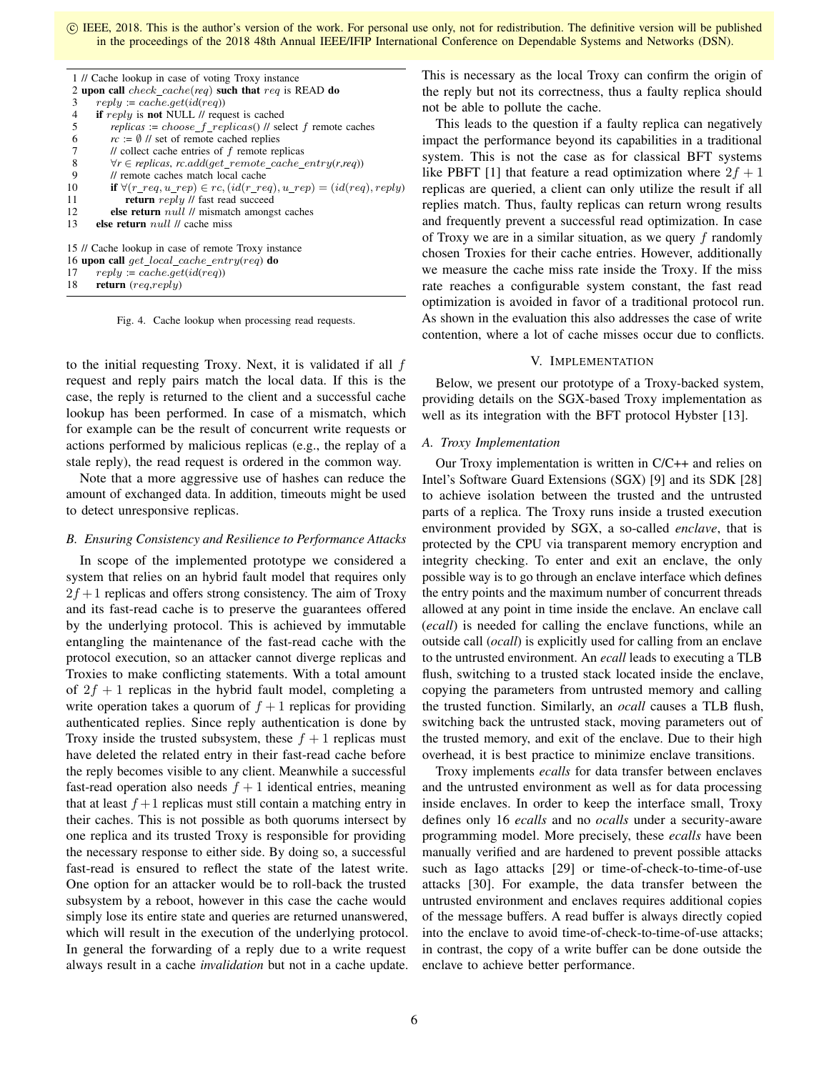| 1 // Cache lookup in case of voting Troxy instance                             |  |  |  |
|--------------------------------------------------------------------------------|--|--|--|
| 2 upon call check_cache(req) such that req is READ do                          |  |  |  |
| $reply := cache.get(id (req))$                                                 |  |  |  |
| if reply is not NULL $\theta$ request is cached                                |  |  |  |
| replicas := choose_ $f_{\text{replicas}}()$ // select $f$ remote caches        |  |  |  |
| $rc := \emptyset$ // set of remote cached replies                              |  |  |  |
| $\prime\prime$ collect cache entries of $f$ remote replicas                    |  |  |  |
| $\forall r \in replicas, rc.add(qet\_remote\_cache\_entry(r,req))$             |  |  |  |
| // remote caches match local cache                                             |  |  |  |
| if $\forall (r\_req, u\_rep) \in rc, (id(r\_req), u\_rep) = (id (req), reply)$ |  |  |  |
| <b>return</b> reply // fast read succeed                                       |  |  |  |
| else return $null$ // mismatch amongst caches                                  |  |  |  |
| <b>else return</b> $null$ // cache miss                                        |  |  |  |
|                                                                                |  |  |  |
| 15 // Cache lookup in case of remote Troxy instance                            |  |  |  |
| 16 upon call get local cache entry(req) do                                     |  |  |  |
| $reply := cache.get(id (req))$<br>17                                           |  |  |  |
|                                                                                |  |  |  |

18 return (req,reply)

Fig. 4. Cache lookup when processing read requests.

to the initial requesting Troxy. Next, it is validated if all  $f$ request and reply pairs match the local data. If this is the case, the reply is returned to the client and a successful cache lookup has been performed. In case of a mismatch, which for example can be the result of concurrent write requests or actions performed by malicious replicas (e.g., the replay of a stale reply), the read request is ordered in the common way.

Note that a more aggressive use of hashes can reduce the amount of exchanged data. In addition, timeouts might be used to detect unresponsive replicas.

#### *B. Ensuring Consistency and Resilience to Performance Attacks*

In scope of the implemented prototype we considered a system that relies on an hybrid fault model that requires only  $2f + 1$  replicas and offers strong consistency. The aim of Troxy and its fast-read cache is to preserve the guarantees offered by the underlying protocol. This is achieved by immutable entangling the maintenance of the fast-read cache with the protocol execution, so an attacker cannot diverge replicas and Troxies to make conflicting statements. With a total amount of  $2f + 1$  replicas in the hybrid fault model, completing a write operation takes a quorum of  $f + 1$  replicas for providing authenticated replies. Since reply authentication is done by Troxy inside the trusted subsystem, these  $f + 1$  replicas must have deleted the related entry in their fast-read cache before the reply becomes visible to any client. Meanwhile a successful fast-read operation also needs  $f + 1$  identical entries, meaning that at least  $f + 1$  replicas must still contain a matching entry in their caches. This is not possible as both quorums intersect by one replica and its trusted Troxy is responsible for providing the necessary response to either side. By doing so, a successful fast-read is ensured to reflect the state of the latest write. One option for an attacker would be to roll-back the trusted subsystem by a reboot, however in this case the cache would simply lose its entire state and queries are returned unanswered, which will result in the execution of the underlying protocol. In general the forwarding of a reply due to a write request always result in a cache *invalidation* but not in a cache update. This is necessary as the local Troxy can confirm the origin of the reply but not its correctness, thus a faulty replica should not be able to pollute the cache.

This leads to the question if a faulty replica can negatively impact the performance beyond its capabilities in a traditional system. This is not the case as for classical BFT systems like PBFT [1] that feature a read optimization where  $2f + 1$ replicas are queried, a client can only utilize the result if all replies match. Thus, faulty replicas can return wrong results and frequently prevent a successful read optimization. In case of Troxy we are in a similar situation, as we query  $f$  randomly chosen Troxies for their cache entries. However, additionally we measure the cache miss rate inside the Troxy. If the miss rate reaches a configurable system constant, the fast read optimization is avoided in favor of a traditional protocol run. As shown in the evaluation this also addresses the case of write contention, where a lot of cache misses occur due to conflicts.

# V. IMPLEMENTATION

Below, we present our prototype of a Troxy-backed system, providing details on the SGX-based Troxy implementation as well as its integration with the BFT protocol Hybster [13].

## *A. Troxy Implementation*

Our Troxy implementation is written in C/C++ and relies on Intel's Software Guard Extensions (SGX) [9] and its SDK [28] to achieve isolation between the trusted and the untrusted parts of a replica. The Troxy runs inside a trusted execution environment provided by SGX, a so-called *enclave*, that is protected by the CPU via transparent memory encryption and integrity checking. To enter and exit an enclave, the only possible way is to go through an enclave interface which defines the entry points and the maximum number of concurrent threads allowed at any point in time inside the enclave. An enclave call (*ecall*) is needed for calling the enclave functions, while an outside call (*ocall*) is explicitly used for calling from an enclave to the untrusted environment. An *ecall* leads to executing a TLB flush, switching to a trusted stack located inside the enclave, copying the parameters from untrusted memory and calling the trusted function. Similarly, an *ocall* causes a TLB flush, switching back the untrusted stack, moving parameters out of the trusted memory, and exit of the enclave. Due to their high overhead, it is best practice to minimize enclave transitions.

Troxy implements *ecalls* for data transfer between enclaves and the untrusted environment as well as for data processing inside enclaves. In order to keep the interface small, Troxy defines only 16 *ecalls* and no *ocalls* under a security-aware programming model. More precisely, these *ecalls* have been manually verified and are hardened to prevent possible attacks such as Iago attacks [29] or time-of-check-to-time-of-use attacks [30]. For example, the data transfer between the untrusted environment and enclaves requires additional copies of the message buffers. A read buffer is always directly copied into the enclave to avoid time-of-check-to-time-of-use attacks; in contrast, the copy of a write buffer can be done outside the enclave to achieve better performance.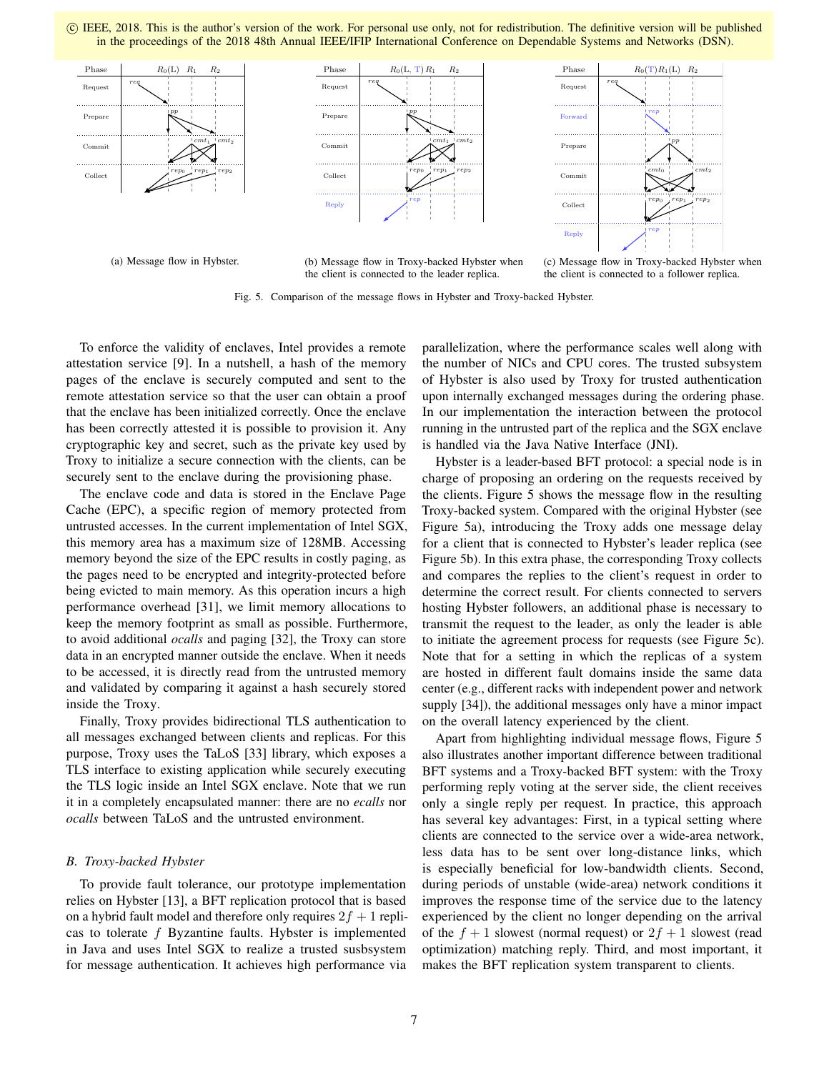

(a) Message flow in Hybster.

(b) Message flow in Troxy-backed Hybster when the client is connected to the leader replica.

(c) Message flow in Troxy-backed Hybster when the client is connected to a follower replica.

Fig. 5. Comparison of the message flows in Hybster and Troxy-backed Hybster.

To enforce the validity of enclaves, Intel provides a remote attestation service [9]. In a nutshell, a hash of the memory pages of the enclave is securely computed and sent to the remote attestation service so that the user can obtain a proof that the enclave has been initialized correctly. Once the enclave has been correctly attested it is possible to provision it. Any cryptographic key and secret, such as the private key used by Troxy to initialize a secure connection with the clients, can be securely sent to the enclave during the provisioning phase.

The enclave code and data is stored in the Enclave Page Cache (EPC), a specific region of memory protected from untrusted accesses. In the current implementation of Intel SGX, this memory area has a maximum size of 128MB. Accessing memory beyond the size of the EPC results in costly paging, as the pages need to be encrypted and integrity-protected before being evicted to main memory. As this operation incurs a high performance overhead [31], we limit memory allocations to keep the memory footprint as small as possible. Furthermore, to avoid additional *ocalls* and paging [32], the Troxy can store data in an encrypted manner outside the enclave. When it needs to be accessed, it is directly read from the untrusted memory and validated by comparing it against a hash securely stored inside the Troxy.

Finally, Troxy provides bidirectional TLS authentication to all messages exchanged between clients and replicas. For this purpose, Troxy uses the TaLoS [33] library, which exposes a TLS interface to existing application while securely executing the TLS logic inside an Intel SGX enclave. Note that we run it in a completely encapsulated manner: there are no *ecalls* nor *ocalls* between TaLoS and the untrusted environment.

# *B. Troxy-backed Hybster*

To provide fault tolerance, our prototype implementation relies on Hybster [13], a BFT replication protocol that is based on a hybrid fault model and therefore only requires  $2f + 1$  replicas to tolerate f Byzantine faults. Hybster is implemented in Java and uses Intel SGX to realize a trusted susbsystem for message authentication. It achieves high performance via

parallelization, where the performance scales well along with the number of NICs and CPU cores. The trusted subsystem of Hybster is also used by Troxy for trusted authentication upon internally exchanged messages during the ordering phase. In our implementation the interaction between the protocol running in the untrusted part of the replica and the SGX enclave is handled via the Java Native Interface (JNI).

Hybster is a leader-based BFT protocol: a special node is in charge of proposing an ordering on the requests received by the clients. Figure 5 shows the message flow in the resulting Troxy-backed system. Compared with the original Hybster (see Figure 5a), introducing the Troxy adds one message delay for a client that is connected to Hybster's leader replica (see Figure 5b). In this extra phase, the corresponding Troxy collects and compares the replies to the client's request in order to determine the correct result. For clients connected to servers hosting Hybster followers, an additional phase is necessary to transmit the request to the leader, as only the leader is able to initiate the agreement process for requests (see Figure 5c). Note that for a setting in which the replicas of a system are hosted in different fault domains inside the same data center (e.g., different racks with independent power and network supply [34]), the additional messages only have a minor impact on the overall latency experienced by the client.

Apart from highlighting individual message flows, Figure 5 also illustrates another important difference between traditional BFT systems and a Troxy-backed BFT system: with the Troxy performing reply voting at the server side, the client receives only a single reply per request. In practice, this approach has several key advantages: First, in a typical setting where clients are connected to the service over a wide-area network, less data has to be sent over long-distance links, which is especially beneficial for low-bandwidth clients. Second, during periods of unstable (wide-area) network conditions it improves the response time of the service due to the latency experienced by the client no longer depending on the arrival of the  $f + 1$  slowest (normal request) or  $2f + 1$  slowest (read optimization) matching reply. Third, and most important, it makes the BFT replication system transparent to clients.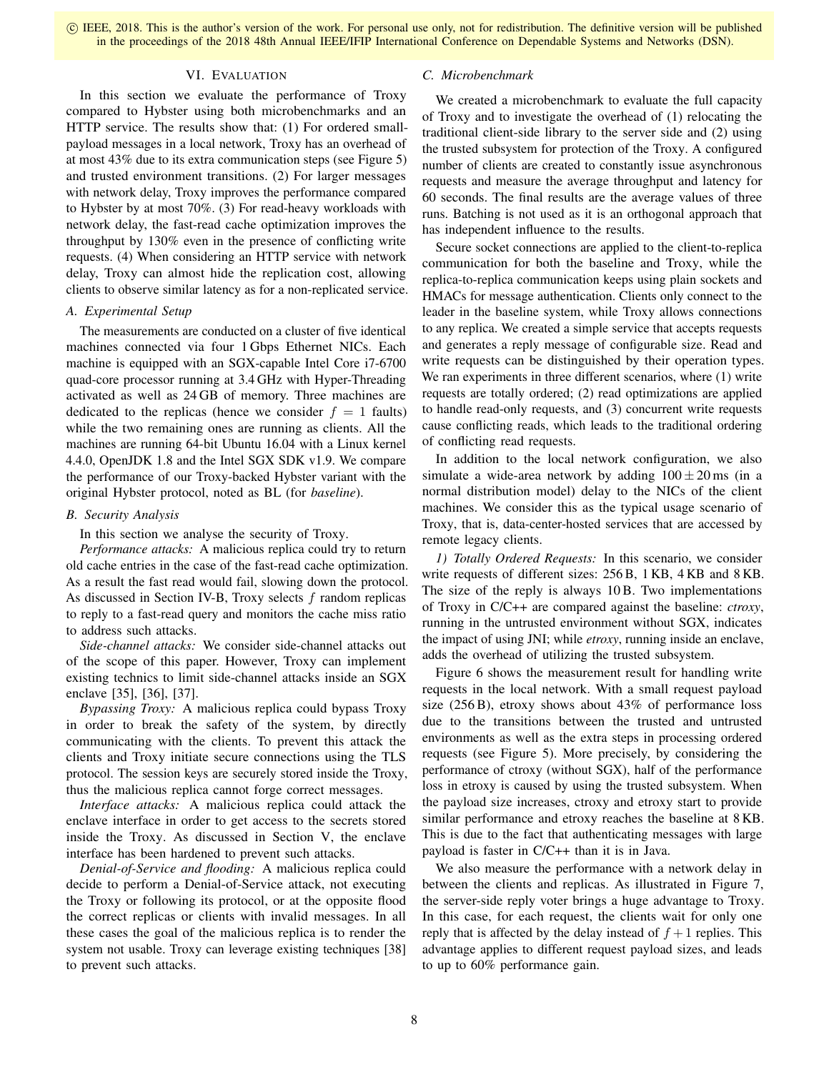# VI. EVALUATION

In this section we evaluate the performance of Troxy compared to Hybster using both microbenchmarks and an HTTP service. The results show that: (1) For ordered smallpayload messages in a local network, Troxy has an overhead of at most 43% due to its extra communication steps (see Figure 5) and trusted environment transitions. (2) For larger messages with network delay, Troxy improves the performance compared to Hybster by at most 70%. (3) For read-heavy workloads with network delay, the fast-read cache optimization improves the throughput by 130% even in the presence of conflicting write requests. (4) When considering an HTTP service with network delay, Troxy can almost hide the replication cost, allowing clients to observe similar latency as for a non-replicated service.

# *A. Experimental Setup*

The measurements are conducted on a cluster of five identical machines connected via four 1 Gbps Ethernet NICs. Each machine is equipped with an SGX-capable Intel Core i7-6700 quad-core processor running at 3.4 GHz with Hyper-Threading activated as well as 24 GB of memory. Three machines are dedicated to the replicas (hence we consider  $f = 1$  faults) while the two remaining ones are running as clients. All the machines are running 64-bit Ubuntu 16.04 with a Linux kernel 4.4.0, OpenJDK 1.8 and the Intel SGX SDK v1.9. We compare the performance of our Troxy-backed Hybster variant with the original Hybster protocol, noted as BL (for *baseline*).

# *B. Security Analysis*

In this section we analyse the security of Troxy.

*Performance attacks:* A malicious replica could try to return old cache entries in the case of the fast-read cache optimization. As a result the fast read would fail, slowing down the protocol. As discussed in Section IV-B, Troxy selects  $f$  random replicas to reply to a fast-read query and monitors the cache miss ratio to address such attacks.

*Side-channel attacks:* We consider side-channel attacks out of the scope of this paper. However, Troxy can implement existing technics to limit side-channel attacks inside an SGX enclave [35], [36], [37].

*Bypassing Troxy:* A malicious replica could bypass Troxy in order to break the safety of the system, by directly communicating with the clients. To prevent this attack the clients and Troxy initiate secure connections using the TLS protocol. The session keys are securely stored inside the Troxy, thus the malicious replica cannot forge correct messages.

*Interface attacks:* A malicious replica could attack the enclave interface in order to get access to the secrets stored inside the Troxy. As discussed in Section V, the enclave interface has been hardened to prevent such attacks.

*Denial-of-Service and flooding:* A malicious replica could decide to perform a Denial-of-Service attack, not executing the Troxy or following its protocol, or at the opposite flood the correct replicas or clients with invalid messages. In all these cases the goal of the malicious replica is to render the system not usable. Troxy can leverage existing techniques [38] to prevent such attacks.

# *C. Microbenchmark*

We created a microbenchmark to evaluate the full capacity of Troxy and to investigate the overhead of (1) relocating the traditional client-side library to the server side and (2) using the trusted subsystem for protection of the Troxy. A configured number of clients are created to constantly issue asynchronous requests and measure the average throughput and latency for 60 seconds. The final results are the average values of three runs. Batching is not used as it is an orthogonal approach that has independent influence to the results.

Secure socket connections are applied to the client-to-replica communication for both the baseline and Troxy, while the replica-to-replica communication keeps using plain sockets and HMACs for message authentication. Clients only connect to the leader in the baseline system, while Troxy allows connections to any replica. We created a simple service that accepts requests and generates a reply message of configurable size. Read and write requests can be distinguished by their operation types. We ran experiments in three different scenarios, where (1) write requests are totally ordered; (2) read optimizations are applied to handle read-only requests, and (3) concurrent write requests cause conflicting reads, which leads to the traditional ordering of conflicting read requests.

In addition to the local network configuration, we also simulate a wide-area network by adding  $100 \pm 20$  ms (in a normal distribution model) delay to the NICs of the client machines. We consider this as the typical usage scenario of Troxy, that is, data-center-hosted services that are accessed by remote legacy clients.

*1) Totally Ordered Requests:* In this scenario, we consider write requests of different sizes: 256 B, 1 KB, 4 KB and 8 KB. The size of the reply is always 10 B. Two implementations of Troxy in C/C++ are compared against the baseline: *ctroxy*, running in the untrusted environment without SGX, indicates the impact of using JNI; while *etroxy*, running inside an enclave, adds the overhead of utilizing the trusted subsystem.

Figure 6 shows the measurement result for handling write requests in the local network. With a small request payload size (256 B), etroxy shows about 43% of performance loss due to the transitions between the trusted and untrusted environments as well as the extra steps in processing ordered requests (see Figure 5). More precisely, by considering the performance of ctroxy (without SGX), half of the performance loss in etroxy is caused by using the trusted subsystem. When the payload size increases, ctroxy and etroxy start to provide similar performance and etroxy reaches the baseline at 8 KB. This is due to the fact that authenticating messages with large payload is faster in C/C++ than it is in Java.

We also measure the performance with a network delay in between the clients and replicas. As illustrated in Figure 7, the server-side reply voter brings a huge advantage to Troxy. In this case, for each request, the clients wait for only one reply that is affected by the delay instead of  $f + 1$  replies. This advantage applies to different request payload sizes, and leads to up to 60% performance gain.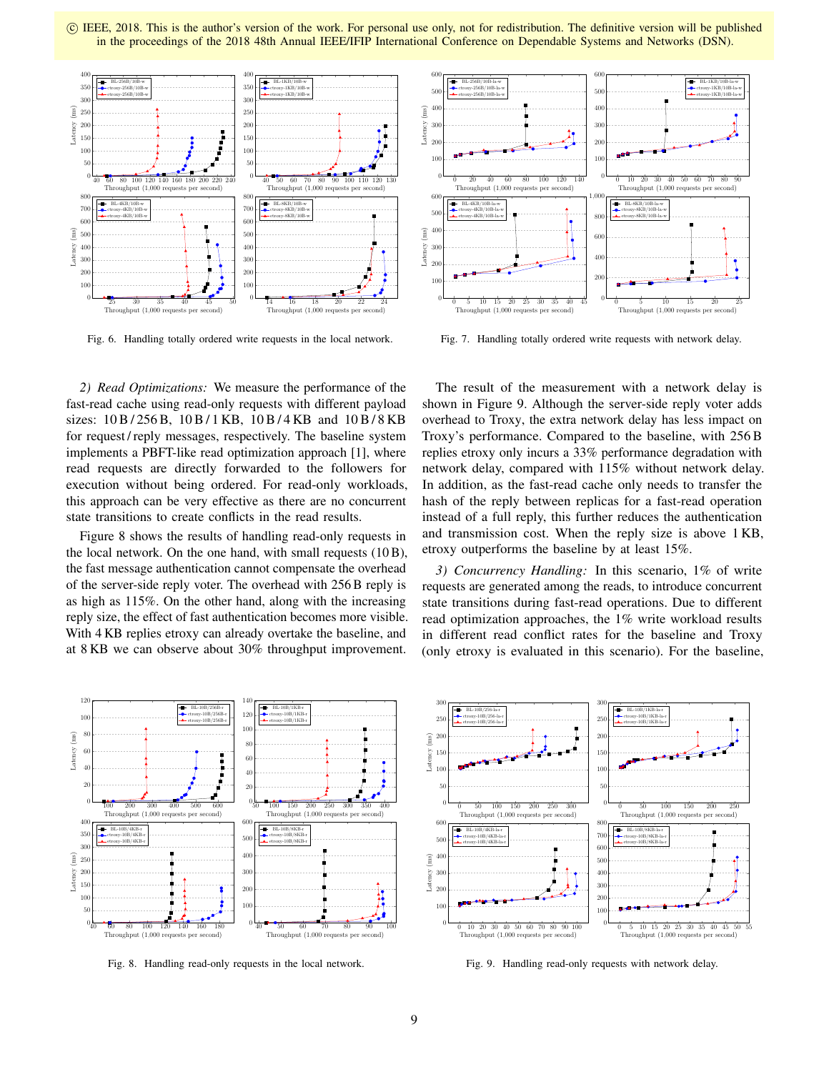c IEEE, 2018. This is the author's version of the work. For personal use only, not for redistribution. The definitive version will be published in the proceedings of the 2018 48th Annual IEEE/IFIP International Conference on Dependable Systems and Networks (DSN).



Fig. 6. Handling totally ordered write requests in the local network.



Fig. 7. Handling totally ordered write requests with network delay.

*2) Read Optimizations:* We measure the performance of the fast-read cache using read-only requests with different payload sizes: 10 B / 256 B, 10 B / 1 KB, 10 B / 4 KB and 10 B / 8 KB for request / reply messages, respectively. The baseline system implements a PBFT-like read optimization approach [1], where read requests are directly forwarded to the followers for execution without being ordered. For read-only workloads, this approach can be very effective as there are no concurrent state transitions to create conflicts in the read results.

Figure 8 shows the results of handling read-only requests in the local network. On the one hand, with small requests (10 B), the fast message authentication cannot compensate the overhead of the server-side reply voter. The overhead with 256 B reply is as high as 115%. On the other hand, along with the increasing reply size, the effect of fast authentication becomes more visible. With 4 KB replies etroxy can already overtake the baseline, and at 8 KB we can observe about 30% throughput improvement.

The result of the measurement with a network delay is shown in Figure 9. Although the server-side reply voter adds overhead to Troxy, the extra network delay has less impact on Troxy's performance. Compared to the baseline, with 256 B replies etroxy only incurs a 33% performance degradation with network delay, compared with 115% without network delay. In addition, as the fast-read cache only needs to transfer the hash of the reply between replicas for a fast-read operation instead of a full reply, this further reduces the authentication and transmission cost. When the reply size is above 1 KB, etroxy outperforms the baseline by at least 15%.

*3) Concurrency Handling:* In this scenario, 1% of write requests are generated among the reads, to introduce concurrent state transitions during fast-read operations. Due to different read optimization approaches, the 1% write workload results in different read conflict rates for the baseline and Troxy (only etroxy is evaluated in this scenario). For the baseline,



Fig. 8. Handling read-only requests in the local network.



Fig. 9. Handling read-only requests with network delay.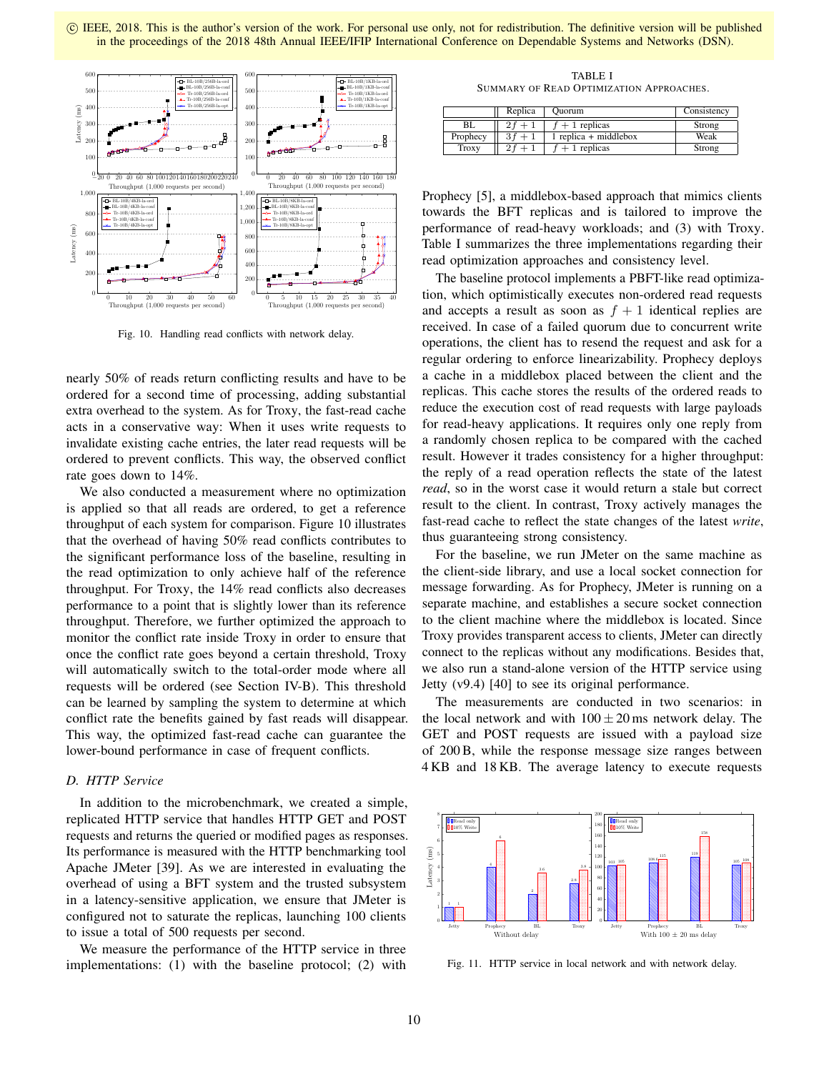

Fig. 10. Handling read conflicts with network delay.

nearly 50% of reads return conflicting results and have to be ordered for a second time of processing, adding substantial extra overhead to the system. As for Troxy, the fast-read cache acts in a conservative way: When it uses write requests to invalidate existing cache entries, the later read requests will be ordered to prevent conflicts. This way, the observed conflict rate goes down to 14%.

We also conducted a measurement where no optimization is applied so that all reads are ordered, to get a reference throughput of each system for comparison. Figure 10 illustrates that the overhead of having 50% read conflicts contributes to the significant performance loss of the baseline, resulting in the read optimization to only achieve half of the reference throughput. For Troxy, the 14% read conflicts also decreases performance to a point that is slightly lower than its reference throughput. Therefore, we further optimized the approach to monitor the conflict rate inside Troxy in order to ensure that once the conflict rate goes beyond a certain threshold, Troxy will automatically switch to the total-order mode where all requests will be ordered (see Section IV-B). This threshold can be learned by sampling the system to determine at which conflict rate the benefits gained by fast reads will disappear. This way, the optimized fast-read cache can guarantee the lower-bound performance in case of frequent conflicts.

# *D. HTTP Service*

In addition to the microbenchmark, we created a simple, replicated HTTP service that handles HTTP GET and POST requests and returns the queried or modified pages as responses. Its performance is measured with the HTTP benchmarking tool Apache JMeter [39]. As we are interested in evaluating the overhead of using a BFT system and the trusted subsystem in a latency-sensitive application, we ensure that JMeter is configured not to saturate the replicas, launching 100 clients to issue a total of 500 requests per second.

We measure the performance of the HTTP service in three implementations: (1) with the baseline protocol; (2) with

TABLE I SUMMARY OF READ OPTIMIZATION APPROACHES.

|              | Replica | <b>Ouorum</b>           | Consistency |
|--------------|---------|-------------------------|-------------|
| BL           |         | $f + 1$ replicas        | Strong      |
| Prophecy     | $3f +$  | $1$ replica + middlebox | Weak        |
| <b>Troxy</b> |         | $+1$ replicas           | Strong      |

Prophecy [5], a middlebox-based approach that mimics clients towards the BFT replicas and is tailored to improve the performance of read-heavy workloads; and (3) with Troxy. Table I summarizes the three implementations regarding their read optimization approaches and consistency level.

The baseline protocol implements a PBFT-like read optimization, which optimistically executes non-ordered read requests and accepts a result as soon as  $f + 1$  identical replies are received. In case of a failed quorum due to concurrent write operations, the client has to resend the request and ask for a regular ordering to enforce linearizability. Prophecy deploys a cache in a middlebox placed between the client and the replicas. This cache stores the results of the ordered reads to reduce the execution cost of read requests with large payloads for read-heavy applications. It requires only one reply from a randomly chosen replica to be compared with the cached result. However it trades consistency for a higher throughput: the reply of a read operation reflects the state of the latest *read*, so in the worst case it would return a stale but correct result to the client. In contrast, Troxy actively manages the fast-read cache to reflect the state changes of the latest *write*, thus guaranteeing strong consistency.

For the baseline, we run JMeter on the same machine as the client-side library, and use a local socket connection for message forwarding. As for Prophecy, JMeter is running on a separate machine, and establishes a secure socket connection to the client machine where the middlebox is located. Since Troxy provides transparent access to clients, JMeter can directly connect to the replicas without any modifications. Besides that, we also run a stand-alone version of the HTTP service using Jetty (v9.4) [40] to see its original performance.

The measurements are conducted in two scenarios: in the local network and with  $100 \pm 20$  ms network delay. The GET and POST requests are issued with a payload size of 200 B, while the response message size ranges between 4 KB and 18 KB. The average latency to execute requests



Fig. 11. HTTP service in local network and with network delay.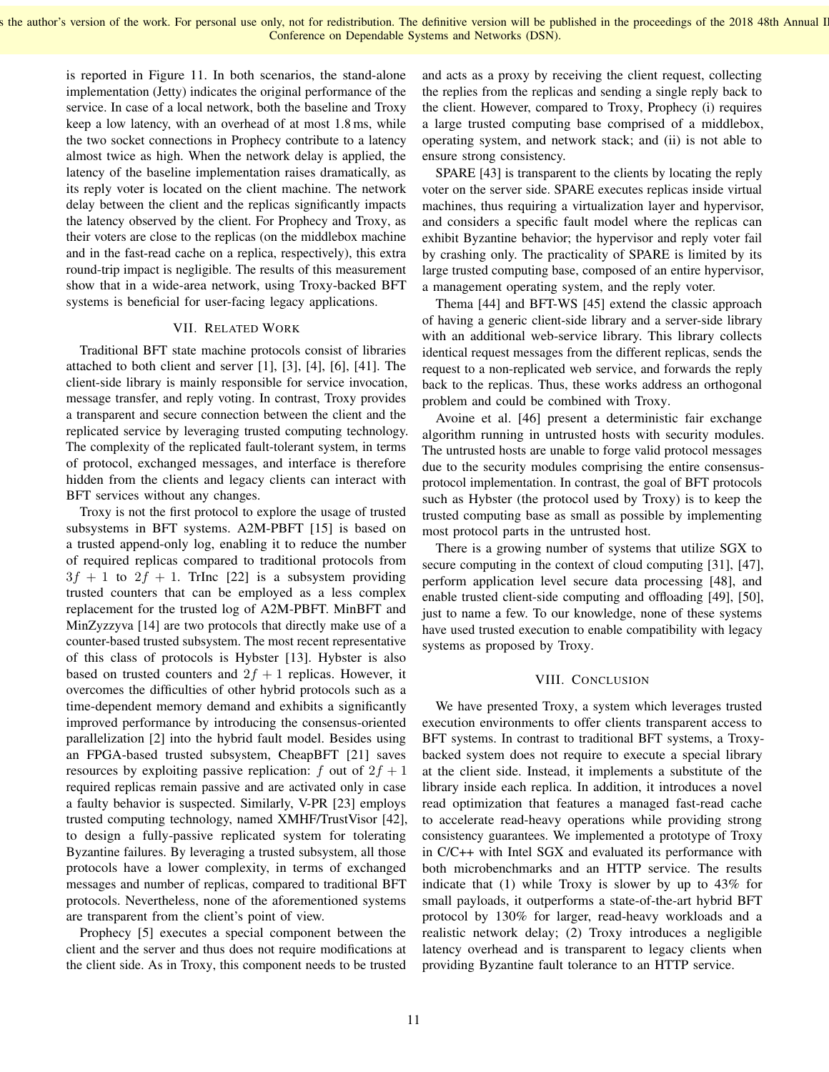is reported in Figure 11. In both scenarios, the stand-alone implementation (Jetty) indicates the original performance of the service. In case of a local network, both the baseline and Troxy keep a low latency, with an overhead of at most 1.8 ms, while the two socket connections in Prophecy contribute to a latency almost twice as high. When the network delay is applied, the latency of the baseline implementation raises dramatically, as its reply voter is located on the client machine. The network delay between the client and the replicas significantly impacts the latency observed by the client. For Prophecy and Troxy, as their voters are close to the replicas (on the middlebox machine and in the fast-read cache on a replica, respectively), this extra round-trip impact is negligible. The results of this measurement show that in a wide-area network, using Troxy-backed BFT systems is beneficial for user-facing legacy applications.

# VII. RELATED WORK

Traditional BFT state machine protocols consist of libraries attached to both client and server [1], [3], [4], [6], [41]. The client-side library is mainly responsible for service invocation, message transfer, and reply voting. In contrast, Troxy provides a transparent and secure connection between the client and the replicated service by leveraging trusted computing technology. The complexity of the replicated fault-tolerant system, in terms of protocol, exchanged messages, and interface is therefore hidden from the clients and legacy clients can interact with BFT services without any changes.

Troxy is not the first protocol to explore the usage of trusted subsystems in BFT systems. A2M-PBFT [15] is based on a trusted append-only log, enabling it to reduce the number of required replicas compared to traditional protocols from  $3f + 1$  to  $2f + 1$ . TrInc [22] is a subsystem providing trusted counters that can be employed as a less complex replacement for the trusted log of A2M-PBFT. MinBFT and MinZyzzyva [14] are two protocols that directly make use of a counter-based trusted subsystem. The most recent representative of this class of protocols is Hybster [13]. Hybster is also based on trusted counters and  $2f + 1$  replicas. However, it overcomes the difficulties of other hybrid protocols such as a time-dependent memory demand and exhibits a significantly improved performance by introducing the consensus-oriented parallelization [2] into the hybrid fault model. Besides using an FPGA-based trusted subsystem, CheapBFT [21] saves resources by exploiting passive replication: f out of  $2f + 1$ required replicas remain passive and are activated only in case a faulty behavior is suspected. Similarly, V-PR [23] employs trusted computing technology, named XMHF/TrustVisor [42], to design a fully-passive replicated system for tolerating Byzantine failures. By leveraging a trusted subsystem, all those protocols have a lower complexity, in terms of exchanged messages and number of replicas, compared to traditional BFT protocols. Nevertheless, none of the aforementioned systems are transparent from the client's point of view.

Prophecy [5] executes a special component between the client and the server and thus does not require modifications at the client side. As in Troxy, this component needs to be trusted

and acts as a proxy by receiving the client request, collecting the replies from the replicas and sending a single reply back to the client. However, compared to Troxy, Prophecy (i) requires a large trusted computing base comprised of a middlebox, operating system, and network stack; and (ii) is not able to ensure strong consistency.

SPARE [43] is transparent to the clients by locating the reply voter on the server side. SPARE executes replicas inside virtual machines, thus requiring a virtualization layer and hypervisor, and considers a specific fault model where the replicas can exhibit Byzantine behavior; the hypervisor and reply voter fail by crashing only. The practicality of SPARE is limited by its large trusted computing base, composed of an entire hypervisor, a management operating system, and the reply voter.

Thema [44] and BFT-WS [45] extend the classic approach of having a generic client-side library and a server-side library with an additional web-service library. This library collects identical request messages from the different replicas, sends the request to a non-replicated web service, and forwards the reply back to the replicas. Thus, these works address an orthogonal problem and could be combined with Troxy.

Avoine et al. [46] present a deterministic fair exchange algorithm running in untrusted hosts with security modules. The untrusted hosts are unable to forge valid protocol messages due to the security modules comprising the entire consensusprotocol implementation. In contrast, the goal of BFT protocols such as Hybster (the protocol used by Troxy) is to keep the trusted computing base as small as possible by implementing most protocol parts in the untrusted host.

There is a growing number of systems that utilize SGX to secure computing in the context of cloud computing [31], [47], perform application level secure data processing [48], and enable trusted client-side computing and offloading [49], [50], just to name a few. To our knowledge, none of these systems have used trusted execution to enable compatibility with legacy systems as proposed by Troxy.

## VIII. CONCLUSION

We have presented Troxy, a system which leverages trusted execution environments to offer clients transparent access to BFT systems. In contrast to traditional BFT systems, a Troxybacked system does not require to execute a special library at the client side. Instead, it implements a substitute of the library inside each replica. In addition, it introduces a novel read optimization that features a managed fast-read cache to accelerate read-heavy operations while providing strong consistency guarantees. We implemented a prototype of Troxy in C/C++ with Intel SGX and evaluated its performance with both microbenchmarks and an HTTP service. The results indicate that (1) while Troxy is slower by up to 43% for small payloads, it outperforms a state-of-the-art hybrid BFT protocol by 130% for larger, read-heavy workloads and a realistic network delay; (2) Troxy introduces a negligible latency overhead and is transparent to legacy clients when providing Byzantine fault tolerance to an HTTP service.